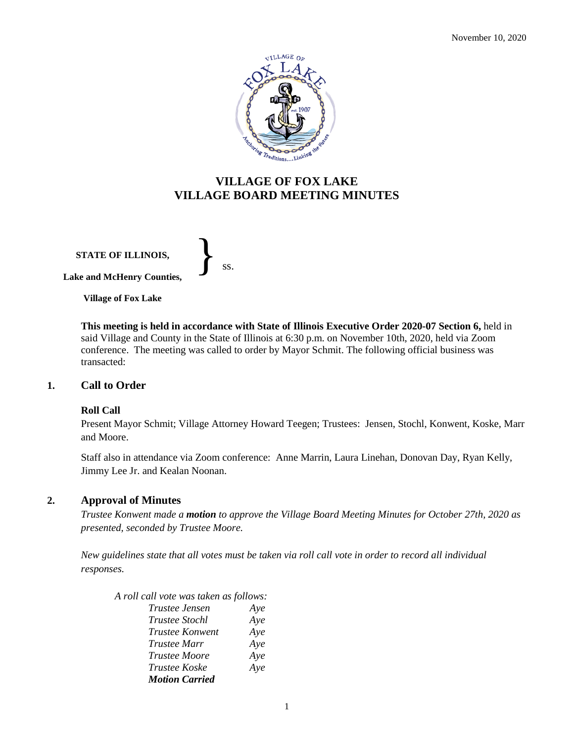

## **VILLAGE OF FOX LAKE VILLAGE BOARD MEETING MINUTES**

**STATE OF ILLINOIS,**

} ss.

**Lake and McHenry Counties,** 

**Village of Fox Lake**

**This meeting is held in accordance with State of Illinois Executive Order 2020-07 Section 6,** held in said Village and County in the State of Illinois at 6:30 p.m. on November 10th, 2020, held via Zoom conference. The meeting was called to order by Mayor Schmit. The following official business was transacted:

#### **1. Call to Order**

#### **Roll Call**

Present Mayor Schmit; Village Attorney Howard Teegen; Trustees: Jensen, Stochl, Konwent, Koske, Marr and Moore.

Staff also in attendance via Zoom conference: Anne Marrin, Laura Linehan, Donovan Day, Ryan Kelly, Jimmy Lee Jr. and Kealan Noonan.

#### **2. Approval of Minutes**

*Trustee Konwent made a motion to approve the Village Board Meeting Minutes for October 27th, 2020 as presented, seconded by Trustee Moore.* 

*New guidelines state that all votes must be taken via roll call vote in order to record all individual responses.* 

*A roll call vote was taken as follows: Trustee Jensen Aye Trustee Stochl Aye Trustee Konwent Aye Trustee Marr Aye Trustee Moore Aye Trustee Koske Aye Motion Carried*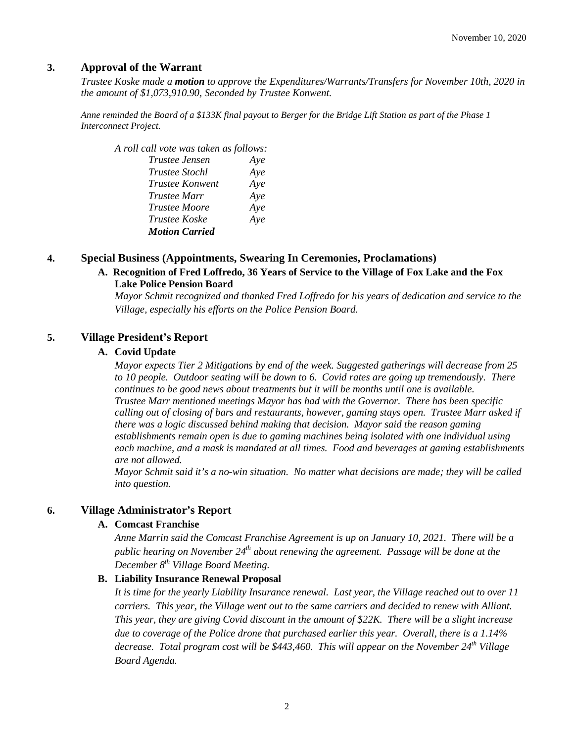### **3. Approval of the Warrant**

*Trustee Koske made a motion to approve the Expenditures/Warrants/Transfers for November 10th, 2020 in the amount of \$1,073,910.90, Seconded by Trustee Konwent.*

*Anne reminded the Board of a \$133K final payout to Berger for the Bridge Lift Station as part of the Phase 1 Interconnect Project.*

*A roll call vote was taken as follows:* 

| Trustee Jensen        | Aye |
|-----------------------|-----|
| Trustee Stochl        | Aye |
| Trustee Konwent       | Aye |
| Trustee Marr          | Aye |
| <i>Trustee Moore</i>  | Aye |
| Trustee Koske         | Aye |
| <b>Motion Carried</b> |     |

#### **4. Special Business (Appointments, Swearing In Ceremonies, Proclamations)**

### **A. Recognition of Fred Loffredo, 36 Years of Service to the Village of Fox Lake and the Fox Lake Police Pension Board**

*Mayor Schmit recognized and thanked Fred Loffredo for his years of dedication and service to the Village, especially his efforts on the Police Pension Board.* 

#### **5. Village President's Report**

#### **A. Covid Update**

*Mayor expects Tier 2 Mitigations by end of the week. Suggested gatherings will decrease from 25 to 10 people. Outdoor seating will be down to 6. Covid rates are going up tremendously. There continues to be good news about treatments but it will be months until one is available. Trustee Marr mentioned meetings Mayor has had with the Governor. There has been specific calling out of closing of bars and restaurants, however, gaming stays open. Trustee Marr asked if there was a logic discussed behind making that decision. Mayor said the reason gaming establishments remain open is due to gaming machines being isolated with one individual using each machine, and a mask is mandated at all times. Food and beverages at gaming establishments are not allowed.* 

*Mayor Schmit said it's a no-win situation. No matter what decisions are made; they will be called into question.* 

#### **6. Village Administrator's Report**

#### **A. Comcast Franchise**

*Anne Marrin said the Comcast Franchise Agreement is up on January 10, 2021. There will be a public hearing on November 24th about renewing the agreement. Passage will be done at the December 8th Village Board Meeting.*

#### **B. Liability Insurance Renewal Proposal**

*It is time for the yearly Liability Insurance renewal. Last year, the Village reached out to over 11 carriers. This year, the Village went out to the same carriers and decided to renew with Alliant. This year, they are giving Covid discount in the amount of \$22K. There will be a slight increase due to coverage of the Police drone that purchased earlier this year. Overall, there is a 1.14% decrease. Total program cost will be \$443,460. This will appear on the November 24th Village Board Agenda.*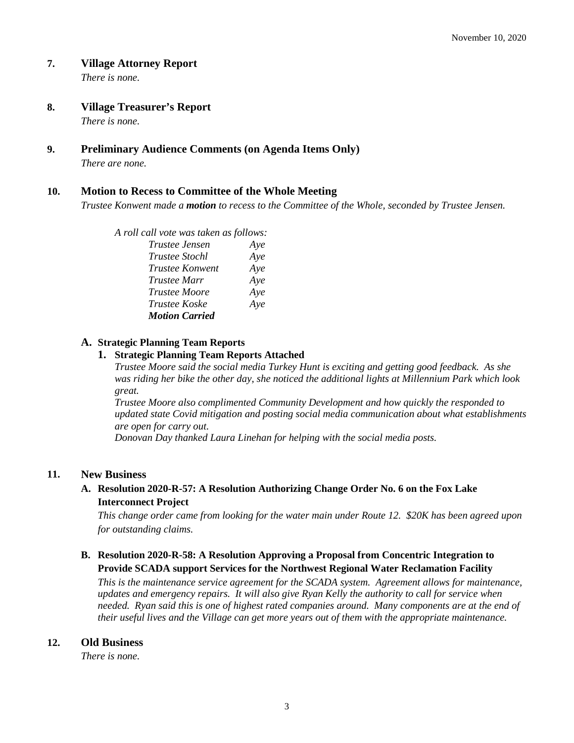#### **7. Village Attorney Report**

*There is none.*

#### **8. Village Treasurer's Report**

*There is none.*

# **9. Preliminary Audience Comments (on Agenda Items Only)**

*There are none.* 

### **10. Motion to Recess to Committee of the Whole Meeting**

*Trustee Konwent made a motion to recess to the Committee of the Whole, seconded by Trustee Jensen.* 

| A roll call vote was taken as follows: |     |
|----------------------------------------|-----|
| Trustee Jensen                         | Aye |
| <i>Trustee Stochl</i>                  | Aye |
| Trustee Konwent                        | Aye |
| <i>Trustee Marr</i>                    | Aye |
| <i>Trustee Moore</i>                   | Aye |
| Trustee Koske                          | Aye |
| <b>Motion Carried</b>                  |     |

### **A. Strategic Planning Team Reports**

#### **1. Strategic Planning Team Reports Attached**

*Trustee Moore said the social media Turkey Hunt is exciting and getting good feedback. As she was riding her bike the other day, she noticed the additional lights at Millennium Park which look great.*

*Trustee Moore also complimented Community Development and how quickly the responded to updated state Covid mitigation and posting social media communication about what establishments are open for carry out.* 

*Donovan Day thanked Laura Linehan for helping with the social media posts.* 

#### **11. New Business**

### **A. Resolution 2020-R-57: A Resolution Authorizing Change Order No. 6 on the Fox Lake Interconnect Project**

*This change order came from looking for the water main under Route 12. \$20K has been agreed upon for outstanding claims.* 

### **B. Resolution 2020-R-58: A Resolution Approving a Proposal from Concentric Integration to Provide SCADA support Services for the Northwest Regional Water Reclamation Facility**

*This is the maintenance service agreement for the SCADA system. Agreement allows for maintenance, updates and emergency repairs. It will also give Ryan Kelly the authority to call for service when needed. Ryan said this is one of highest rated companies around. Many components are at the end of their useful lives and the Village can get more years out of them with the appropriate maintenance.* 

#### **12. Old Business**

*There is none.*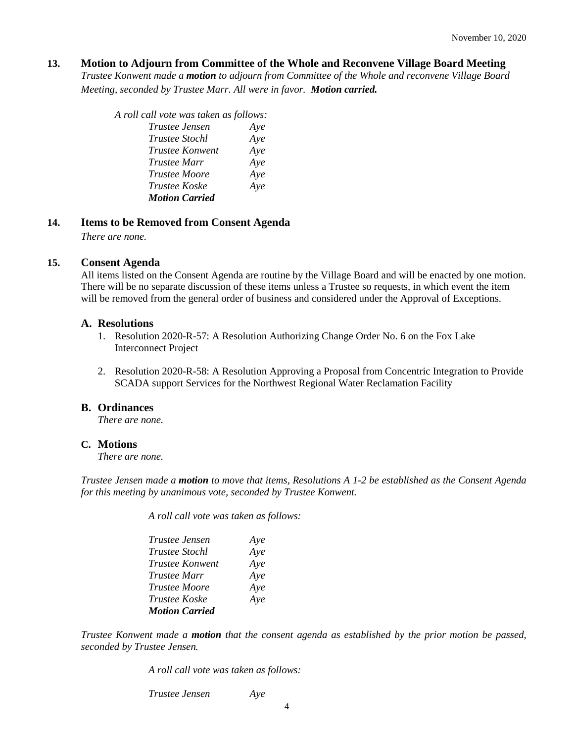#### **13. Motion to Adjourn from Committee of the Whole and Reconvene Village Board Meeting**

*Trustee Konwent made a motion to adjourn from Committee of the Whole and reconvene Village Board Meeting, seconded by Trustee Marr. All were in favor. Motion carried.* 

| A roll call vote was taken as follows: |     |
|----------------------------------------|-----|
| Trustee Jensen                         | Aye |
| Trustee Stochl                         | Aye |
| Trustee Konwent                        | Aye |
| <i>Trustee Marr</i>                    | Aye |
| <b>Trustee Moore</b>                   | Aye |
| Trustee Koske                          | Aye |
| <b>Motion Carried</b>                  |     |

#### **14. Items to be Removed from Consent Agenda**

*There are none.*

#### **15. Consent Agenda**

All items listed on the Consent Agenda are routine by the Village Board and will be enacted by one motion. There will be no separate discussion of these items unless a Trustee so requests, in which event the item will be removed from the general order of business and considered under the Approval of Exceptions.

#### **A. Resolutions**

- 1. Resolution 2020-R-57: A Resolution Authorizing Change Order No. 6 on the Fox Lake Interconnect Project
- 2. Resolution 2020-R-58: A Resolution Approving a Proposal from Concentric Integration to Provide SCADA support Services for the Northwest Regional Water Reclamation Facility

#### **B. Ordinances**

*There are none.*

#### **C. Motions**

*There are none.*

*Trustee Jensen made a motion to move that items, Resolutions A 1-2 be established as the Consent Agenda for this meeting by unanimous vote, seconded by Trustee Konwent.*

*A roll call vote was taken as follows:* 

| <i>Trustee Jensen</i>  | Aye |
|------------------------|-----|
| Trustee Stochl         | Aye |
| <b>Trustee Konwent</b> | Aye |
| Trustee Marr           | Aye |
| <i>Trustee Moore</i>   | Aye |
| Trustee Koske          | Aye |
| <b>Motion Carried</b>  |     |

*Trustee Konwent made a motion that the consent agenda as established by the prior motion be passed, seconded by Trustee Jensen.*

*A roll call vote was taken as follows:* 

*Trustee Jensen Aye*